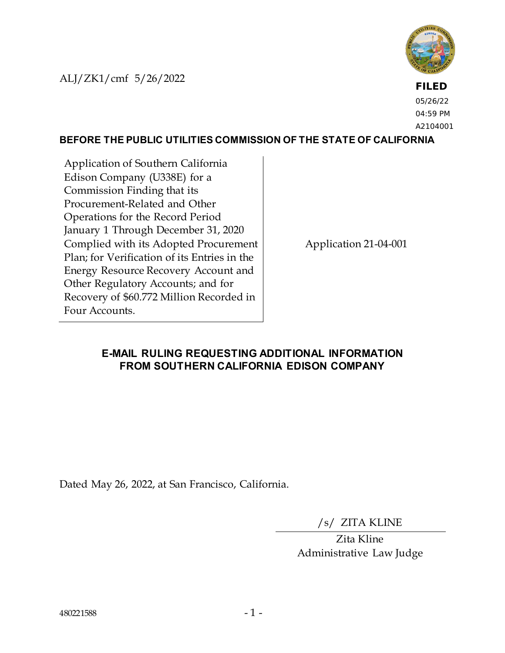ALJ/ZK1/cmf 5/26/2022



**FILED** 05/26/22 04:59 PM A2104001

### **BEFORE THE PUBLIC UTILITIES COMMISSION OF THE STATE OF CALIFORNIA**

Application of Southern California Edison Company (U338E) for a Commission Finding that its Procurement-Related and Other Operations for the Record Period January 1 Through December 31, 2020 Complied with its Adopted Procurement Plan; for Verification of its Entries in the Energy Resource Recovery Account and Other Regulatory Accounts; and for Recovery of \$60.772 Million Recorded in Four Accounts.

Application 21-04-001

# **E-MAIL RULING REQUESTING ADDITIONAL INFORMATION FROM SOUTHERN CALIFORNIA EDISON COMPANY**

Dated May 26, 2022, at San Francisco, California.

/s/ ZITA KLINE

Zita Kline Administrative Law Judge